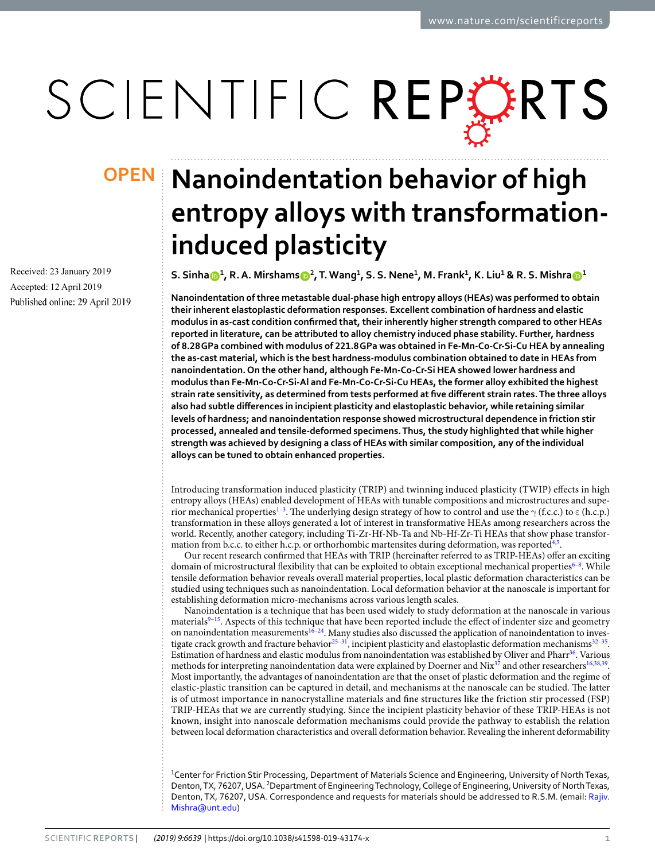# SCIENTIFIC REPERTS

Received: 23 January 2019 Accepted: 12 April 2019 Published online: 29 April 2019

## **Nanoindentation behavior of high OPENentropy alloys with transformationinduced plasticity**

**S. Sinha<sup>1</sup> , R. A. Mirshams<sup>2</sup> , T. Wang<sup>1</sup> , S. S. Nene<sup>1</sup> , M. Frank<sup>1</sup> , K. Liu<sup>1</sup> & R. S. Mishra<sup>1</sup>**

**Nanoindentation of three metastable dual-phase high entropy alloys (HEAs) was performed to obtain their inherent elastoplastic deformation responses. Excellent combination of hardness and elastic modulus in as-cast condition confirmed that, their inherently higher strength compared to other HEAs reported in literature, can be attributed to alloy chemistry induced phase stability. Further, hardness of 8.28 GPa combined with modulus of 221.8 GPa was obtained in Fe-Mn-Co-Cr-Si-Cu HEA by annealing the as-cast material, which is the best hardness-modulus combination obtained to date in HEAs from nanoindentation. On the other hand, although Fe-Mn-Co-Cr-Si HEA showed lower hardness and modulus than Fe-Mn-Co-Cr-Si-Al and Fe-Mn-Co-Cr-Si-Cu HEAs, the former alloy exhibited the highest strain rate sensitivity, as determined from tests performed at five different strain rates. The three alloys also had subtle differences in incipient plasticity and elastoplastic behavior, while retaining similar levels of hardness; and nanoindentation response showed microstructural dependence in friction stir processed, annealed and tensile-deformed specimens. Thus, the study highlighted that while higher strength was achieved by designing a class of HEAs with similar composition, any of the individual alloys can be tuned to obtain enhanced properties.**

Introducing transformation induced plasticity (TRIP) and twinning induced plasticity (TWIP) effects in high entropy alloys (HEAs) enabled development of HEAs with tunable compositions and microstructures and supe-rior mechanical properties<sup>[1](#page-8-0)-3</sup>. The underlying design strategy of how to control and use the  $\gamma$  (f.c.c.) to  $\varepsilon$  (h.c.p.) transformation in these alloys generated a lot of interest in transformative HEAs among researchers across the world. Recently, another category, including Ti-Zr-Hf-Nb-Ta and Nb-Hf-Zr-Ti HEAs that show phase transfor-mation from b.c.c. to either h.c.p. or orthorhombic martensites during deformation, was reported<sup>[4,](#page-8-2)[5](#page-8-3)</sup>.

Our recent research confirmed that HEAs with TRIP (hereinafter referred to as TRIP-HEAs) offer an exciting domain of microstructural flexibility that can be exploited to obtain exceptional mechanical properties<sup>6-[8](#page-8-5)</sup>. While tensile deformation behavior reveals overall material properties, local plastic deformation characteristics can be studied using techniques such as nanoindentation. Local deformation behavior at the nanoscale is important for establishing deformation micro-mechanisms across various length scales.

Nanoindentation is a technique that has been used widely to study deformation at the nanoscale in various materials<sup>[9–](#page-8-6)[15](#page-8-7)</sup>. Aspects of this technique that have been reported include the effect of indenter size and geometry on nanoindentation measurements<sup>[16–](#page-8-8)[24](#page-8-9)</sup>. Many studies also discussed the application of nanoindentation to inves-tigate crack growth and fracture behavior<sup>[25](#page-8-10)-31</sup>, incipient plasticity and elastoplastic deformation mechanisms<sup>32-[35](#page-9-0)</sup>. Estimation of hardness and elastic modulus from nanoindentation was established by Oliver and Pharr<sup>[36](#page-9-1)</sup>. Various methods for interpreting nanoindentation data were explained by Doerner and Nix<sup>[37](#page-9-2)</sup> and other researchers<sup>[16,](#page-8-8)[38,](#page-9-3)[39](#page-9-4)</sup>. Most importantly, the advantages of nanoindentation are that the onset of plastic deformation and the regime of elastic-plastic transition can be captured in detail, and mechanisms at the nanoscale can be studied. The latter is of utmost importance in nanocrystalline materials and fine structures like the friction stir processed (FSP) TRIP-HEAs that we are currently studying. Since the incipient plasticity behavior of these TRIP-HEAs is not known, insight into nanoscale deformation mechanisms could provide the pathway to establish the relation between local deformation characteristics and overall deformation behavior. Revealing the inherent deformability

<sup>1</sup>Center for Friction Stir Processing, Department of Materials Science and Engineering, University of North Texas, Denton, TX, 76207, USA. <sup>2</sup>Department of Engineering Technology, College of Engineering, University of North Texas, Denton, TX, 76207, USA. Correspondence and requests for materials should be addressed to R.S.M. (email: [Rajiv.](mailto:Rajiv.Mishra@unt.edu) [Mishra@unt.edu](mailto:Rajiv.Mishra@unt.edu))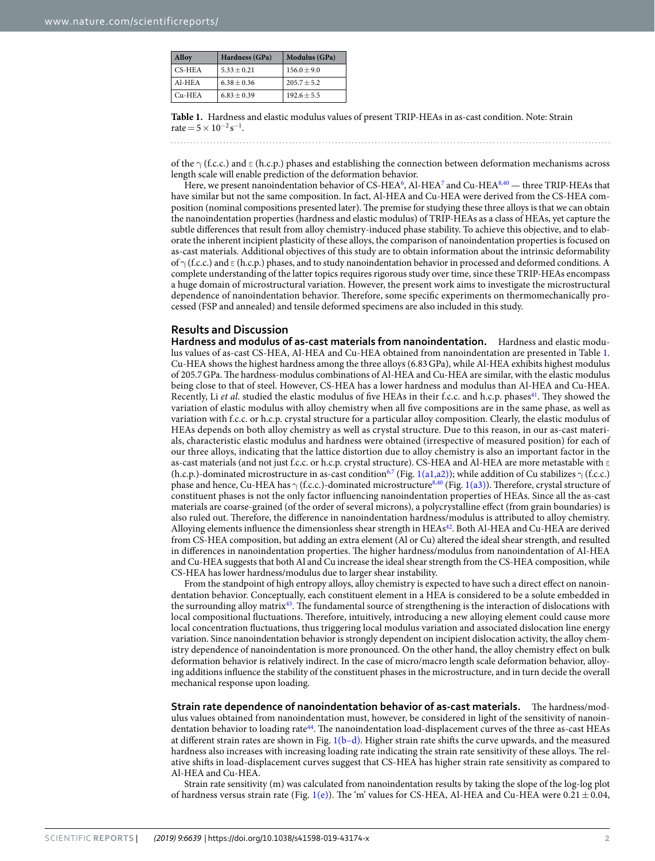<span id="page-1-0"></span>

| Alloy    | Hardness (GPa)  | Modulus (GPa)   |
|----------|-----------------|-----------------|
| CS-HEA   | $5.33 \pm 0.21$ | $156.0 \pm 9.0$ |
| Al-HEA   | $6.38 \pm 0.36$ | $205.7 + 5.2$   |
| $Cu-HEA$ | $6.83 \pm 0.39$ | $192.6 + 5.5$   |

**Table 1.** Hardness and elastic modulus values of present TRIP-HEAs in as-cast condition. Note: Strain rate =  $5 \times 10^{-2}$  s<sup>-1</sup>.

of the  $\gamma$  (f.c.c.) and  $\varepsilon$  (h.c.p.) phases and establishing the connection between deformation mechanisms across length scale will enable prediction of the deformation behavior.

Here, we present nanoindentation behavior of CS-HEA<sup>[6](#page-8-4)</sup>, Al-HEA<sup>[7](#page-8-13)</sup> and Cu-HEA<sup>[8](#page-8-5)[,40](#page-9-5)</sup> — three TRIP-HEAs that have similar but not the same composition. In fact, Al-HEA and Cu-HEA were derived from the CS-HEA composition (nominal compositions presented later). The premise for studying these three alloys is that we can obtain the nanoindentation properties (hardness and elastic modulus) of TRIP-HEAs as a class of HEAs, yet capture the subtle differences that result from alloy chemistry-induced phase stability. To achieve this objective, and to elaborate the inherent incipient plasticity of these alloys, the comparison of nanoindentation properties is focused on as-cast materials. Additional objectives of this study are to obtain information about the intrinsic deformability of  $\gamma$  (f.c.c.) and ε (h.c.p.) phases, and to study nanoindentation behavior in processed and deformed conditions. A complete understanding of the latter topics requires rigorous study over time, since these TRIP-HEAs encompass a huge domain of microstructural variation. However, the present work aims to investigate the microstructural dependence of nanoindentation behavior. Therefore, some specific experiments on thermomechanically processed (FSP and annealed) and tensile deformed specimens are also included in this study.

### **Results and Discussion**

**Hardness and modulus of as-cast materials from nanoindentation.** Hardness and elastic modulus values of as-cast CS-HEA, Al-HEA and Cu-HEA obtained from nanoindentation are presented in Table [1.](#page-1-0) Cu-HEA shows the highest hardness among the three alloys (6.83 GPa), while Al-HEA exhibits highest modulus of 205.7 GPa. The hardness-modulus combinations of Al-HEA and Cu-HEA are similar, with the elastic modulus being close to that of steel. However, CS-HEA has a lower hardness and modulus than Al-HEA and Cu-HEA. Recently, Li et al. studied the elastic modulus of five HEAs in their f.c.c. and h.c.p. phases<sup>[41](#page-9-6)</sup>. They showed the variation of elastic modulus with alloy chemistry when all five compositions are in the same phase, as well as variation with f.c.c. or h.c.p. crystal structure for a particular alloy composition. Clearly, the elastic modulus of HEAs depends on both alloy chemistry as well as crystal structure. Due to this reason, in our as-cast materials, characteristic elastic modulus and hardness were obtained (irrespective of measured position) for each of our three alloys, indicating that the lattice distortion due to alloy chemistry is also an important factor in the as-cast materials (and not just f.c.c. or h.c.p. crystal structure). CS-HEA and Al-HEA are more metastable with ε (h.c.p.)-dominated microstructure in as-cast condition<sup>[6,](#page-8-4)[7](#page-8-13)</sup> (Fig. [1\(a1,a2\)](#page-2-0)); while addition of Cu stabilizes  $\gamma$  (f.c.c.) phase and hence, Cu-HEA has γ (f.c.c.)-dominated microstructure[8](#page-8-5)[,40](#page-9-5) (Fig. [1\(a3\)\)](#page-2-0). Therefore, crystal structure of constituent phases is not the only factor influencing nanoindentation properties of HEAs. Since all the as-cast materials are coarse-grained (of the order of several microns), a polycrystalline effect (from grain boundaries) is also ruled out. Therefore, the difference in nanoindentation hardness/modulus is attributed to alloy chemistry. Alloying elements influence the dimensionless shear strength in HEAs<sup>[42](#page-9-7)</sup>. Both Al-HEA and Cu-HEA are derived from CS-HEA composition, but adding an extra element (Al or Cu) altered the ideal shear strength, and resulted in differences in nanoindentation properties. The higher hardness/modulus from nanoindentation of Al-HEA and Cu-HEA suggests that both Al and Cu increase the ideal shear strength from the CS-HEA composition, while CS-HEA has lower hardness/modulus due to larger shear instability.

From the standpoint of high entropy alloys, alloy chemistry is expected to have such a direct effect on nanoindentation behavior. Conceptually, each constituent element in a HEA is considered to be a solute embedded in the surrounding alloy matrix<sup>[43](#page-9-8)</sup>. The fundamental source of strengthening is the interaction of dislocations with local compositional fluctuations. Therefore, intuitively, introducing a new alloying element could cause more local concentration fluctuations, thus triggering local modulus variation and associated dislocation line energy variation. Since nanoindentation behavior is strongly dependent on incipient dislocation activity, the alloy chemistry dependence of nanoindentation is more pronounced. On the other hand, the alloy chemistry effect on bulk deformation behavior is relatively indirect. In the case of micro/macro length scale deformation behavior, alloying additions influence the stability of the constituent phases in the microstructure, and in turn decide the overall mechanical response upon loading.

**Strain rate dependence of nanoindentation behavior of as-cast materials.** The hardness/modulus values obtained from nanoindentation must, however, be considered in light of the sensitivity of nanoin-dentation behavior to loading rate<sup>[44](#page-9-9)</sup>. The nanoindentation load-displacement curves of the three as-cast HEAs at different strain rates are shown in Fig.  $1(b-d)$ . Higher strain rate shifts the curve upwards, and the measured hardness also increases with increasing loading rate indicating the strain rate sensitivity of these alloys. The relative shifts in load-displacement curves suggest that CS-HEA has higher strain rate sensitivity as compared to Al-HEA and Cu-HEA.

Strain rate sensitivity (m) was calculated from nanoindentation results by taking the slope of the log-log plot of hardness versus strain rate (Fig. [1\(e\)\)](#page-2-0). The 'm' values for CS-HEA, Al-HEA and Cu-HEA were 0.21  $\pm$  0.04,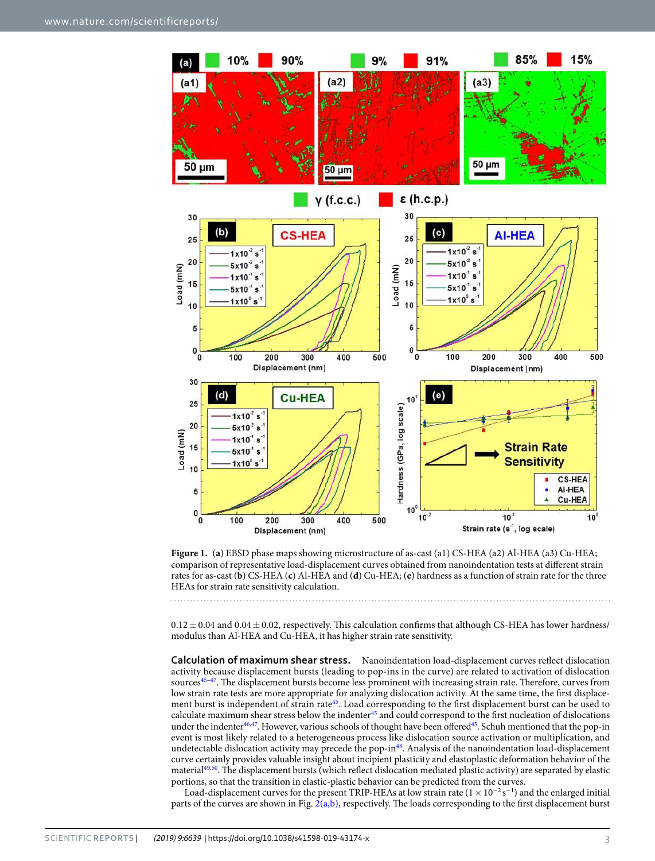

<span id="page-2-0"></span>**Figure 1.** (**a**) EBSD phase maps showing microstructure of as-cast (a1) CS-HEA (a2) Al-HEA (a3) Cu-HEA; comparison of representative load-displacement curves obtained from nanoindentation tests at different strain rates for as-cast (**b**) CS-HEA (**c**) Al-HEA and (**d**) Cu-HEA; (**e**) hardness as a function of strain rate for the three HEAs for strain rate sensitivity calculation.

 $0.12 \pm 0.04$  and  $0.04 \pm 0.02$ , respectively. This calculation confirms that although CS-HEA has lower hardness/ modulus than Al-HEA and Cu-HEA, it has higher strain rate sensitivity.

**Calculation of maximum shear stress.** Nanoindentation load-displacement curves reflect dislocation activity because displacement bursts (leading to pop-ins in the curve) are related to activation of dislocation sources<sup>[45](#page-9-10)[–47](#page-9-11)</sup>. The displacement bursts become less prominent with increasing strain rate. Therefore, curves from low strain rate tests are more appropriate for analyzing dislocation activity. At the same time, the first displace-ment burst is independent of strain rate<sup>[45](#page-9-10)</sup>. Load corresponding to the first displacement burst can be used to calculate maximum shear stress below the indenter[45](#page-9-10) and could correspond to the first nucleation of dislocations under the indenter<sup>[46](#page-9-12)[,47](#page-9-11)</sup>. However, various schools of thought have been offered<sup>[45](#page-9-10)</sup>. Schuh mentioned that the pop-in event is most likely related to a heterogeneous process like dislocation source activation or multiplication, and undetectable dislocation activity may precede the pop-in<sup>[48](#page-9-13)</sup>. Analysis of the nanoindentation load-displacement curve certainly provides valuable insight about incipient plasticity and elastoplastic deformation behavior of the material[49](#page-9-14)[,50](#page-9-15). The displacement bursts (which reflect dislocation mediated plastic activity) are separated by elastic portions, so that the transition in elastic-plastic behavior can be predicted from the curves.

Load-displacement curves for the present TRIP-HEAs at low strain rate  $(1 \times 10^{-2} \text{s}^{-1})$  and the enlarged initial parts of the curves are shown in Fig. [2\(a,b\),](#page-3-0) respectively. The loads corresponding to the first displacement burst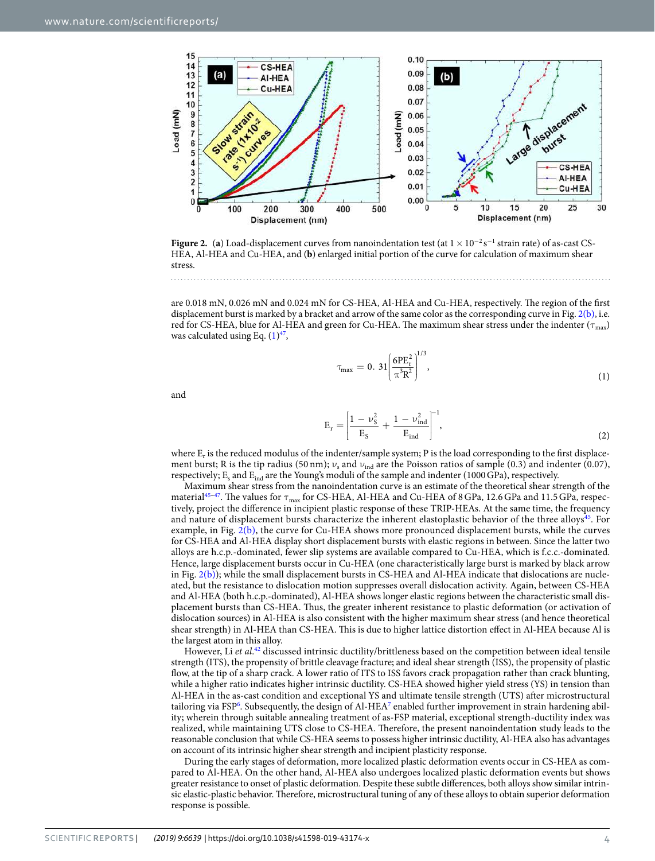

<span id="page-3-0"></span>**Figure 2.** (a) Load-displacement curves from nanoindentation test (at  $1 \times 10^{-2}$  s<sup>-1</sup> strain rate) of as-cast CS-HEA, Al-HEA and Cu-HEA, and (**b**) enlarged initial portion of the curve for calculation of maximum shear stress.

are 0.018 mN, 0.026 mN and 0.024 mN for CS-HEA, Al-HEA and Cu-HEA, respectively. The region of the first displacement burst is marked by a bracket and arrow of the same color as the corresponding curve in Fig. [2\(b\),](#page-3-0) i.e. red for CS-HEA, blue for Al-HEA and green for Cu-HEA. The maximum shear stress under the indenter ( $\tau_{\rm max}$ ) was calculated using Eq.  $(1)^{47}$  $(1)^{47}$  $(1)^{47}$  $(1)^{47}$  $(1)^{47}$ ,

$$
\tau_{\text{max}} = 0.31 \left( \frac{6PE_r^2}{\pi^3 R^2} \right)^{1/3},\tag{1}
$$

<span id="page-3-1"></span>and

$$
E_r = \left[\frac{1 - \nu_S^2}{E_S} + \frac{1 - \nu_{ind}^2}{E_{ind}}\right]^{-1},
$$
\n(2)

where  $E_r$  is the reduced modulus of the indenter/sample system; P is the load corresponding to the first displacement burst; R is the tip radius (50 nm);  $v_s$  and  $v_{\text{ind}}$  are the Poisson ratios of sample (0.3) and indenter (0.07), respectively;  $\rm E_{s}$  and  $\rm E_{ind}$  are the Young's moduli of the sample and indenter (1000 GPa), respectively.

Maximum shear stress from the nanoindentation curve is an estimate of the theoretical shear strength of the material<sup>45-[47](#page-9-11)</sup>. The values for  $\tau_{\rm max}$  for CS-HEA, Al-HEA and Cu-HEA of 8 GPa, 12.6 GPa and 11.5 GPa, respectively, project the difference in incipient plastic response of these TRIP-HEAs. At the same time, the frequency and nature of displacement bursts characterize the inherent elastoplastic behavior of the three alloys<sup>[45](#page-9-10)</sup>. For example, in Fig. [2\(b\)](#page-3-0), the curve for Cu-HEA shows more pronounced displacement bursts, while the curves for CS-HEA and Al-HEA display short displacement bursts with elastic regions in between. Since the latter two alloys are h.c.p.-dominated, fewer slip systems are available compared to Cu-HEA, which is f.c.c.-dominated. Hence, large displacement bursts occur in Cu-HEA (one characteristically large burst is marked by black arrow in Fig.  $2(b)$ ); while the small displacement bursts in CS-HEA and Al-HEA indicate that dislocations are nucleated, but the resistance to dislocation motion suppresses overall dislocation activity. Again, between CS-HEA and Al-HEA (both h.c.p.-dominated), Al-HEA shows longer elastic regions between the characteristic small displacement bursts than CS-HEA. Thus, the greater inherent resistance to plastic deformation (or activation of dislocation sources) in Al-HEA is also consistent with the higher maximum shear stress (and hence theoretical shear strength) in Al-HEA than CS-HEA. This is due to higher lattice distortion effect in Al-HEA because Al is the largest atom in this alloy.

However, Li et al.<sup>[42](#page-9-7)</sup> discussed intrinsic ductility/brittleness based on the competition between ideal tensile strength (ITS), the propensity of brittle cleavage fracture; and ideal shear strength (ISS), the propensity of plastic flow, at the tip of a sharp crack. A lower ratio of ITS to ISS favors crack propagation rather than crack blunting, while a higher ratio indicates higher intrinsic ductility. CS-HEA showed higher yield stress (YS) in tension than Al-HEA in the as-cast condition and exceptional YS and ultimate tensile strength (UTS) after microstructural tailoring via FSP<sup>[6](#page-8-4)</sup>. Subsequently, the design of Al-HEA<sup>[7](#page-8-13)</sup> enabled further improvement in strain hardening ability; wherein through suitable annealing treatment of as-FSP material, exceptional strength-ductility index was realized, while maintaining UTS close to CS-HEA. Therefore, the present nanoindentation study leads to the reasonable conclusion that while CS-HEA seems to possess higher intrinsic ductility, Al-HEA also has advantages on account of its intrinsic higher shear strength and incipient plasticity response.

During the early stages of deformation, more localized plastic deformation events occur in CS-HEA as compared to Al-HEA. On the other hand, Al-HEA also undergoes localized plastic deformation events but shows greater resistance to onset of plastic deformation. Despite these subtle differences, both alloys show similar intrinsic elastic-plastic behavior. Therefore, microstructural tuning of any of these alloys to obtain superior deformation response is possible.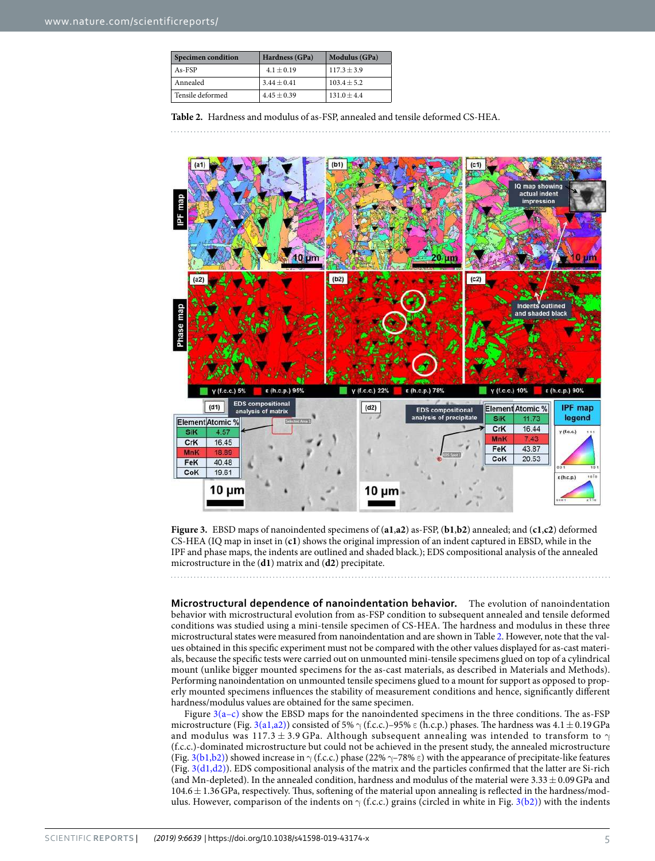<span id="page-4-0"></span>

| <b>Specimen condition</b> | Hardness (GPa)  | <b>Modulus</b> (GPa) |  |
|---------------------------|-----------------|----------------------|--|
| $As-FSP$                  | $4.1 \pm 0.19$  | $117.3 \pm 3.9$      |  |
| Annealed                  | $3.44 \pm 0.41$ | $103.4 \pm 5.2$      |  |
| Tensile deformed          | $4.45 \pm 0.39$ | $131.0 \pm 4.4$      |  |

**Table 2.** Hardness and modulus of as-FSP, annealed and tensile deformed CS-HEA.



<span id="page-4-1"></span>**Figure 3.** EBSD maps of nanoindented specimens of (**a1**,**a2**) as-FSP, (**b1**,**b2**) annealed; and (**c1**,**c2**) deformed CS-HEA (IQ map in inset in (**c1**) shows the original impression of an indent captured in EBSD, while in the IPF and phase maps, the indents are outlined and shaded black.); EDS compositional analysis of the annealed microstructure in the (**d1**) matrix and (**d2**) precipitate.

**Microstructural dependence of nanoindentation behavior.** The evolution of nanoindentation behavior with microstructural evolution from as-FSP condition to subsequent annealed and tensile deformed conditions was studied using a mini-tensile specimen of CS-HEA. The hardness and modulus in these three microstructural states were measured from nanoindentation and are shown in Table [2](#page-4-0). However, note that the values obtained in this specific experiment must not be compared with the other values displayed for as-cast materials, because the specific tests were carried out on unmounted mini-tensile specimens glued on top of a cylindrical mount (unlike bigger mounted specimens for the as-cast materials, as described in Materials and Methods). Performing nanoindentation on unmounted tensile specimens glued to a mount for support as opposed to properly mounted specimens influences the stability of measurement conditions and hence, significantly different hardness/modulus values are obtained for the same specimen.

Figure  $3(a-c)$  show the EBSD maps for the nanoindented specimens in the three conditions. The as-FSP microstructure (Fig. [3\(a1,a2\)\)](#page-4-1) consisted of 5%  $\gamma$  (f.c.c.)–95%  $\varepsilon$  (h.c.p.) phases. The hardness was 4.1  $\pm$  0.19 GPa and modulus was 117.3  $\pm$  3.9 GPa. Although subsequent annealing was intended to transform to  $\gamma$ (f.c.c.)-dominated microstructure but could not be achieved in the present study, the annealed microstructure (Fig. [3\(b1,b2\)](#page-4-1)) showed increase in  $\gamma$  (f.c.c.) phase (22%  $\gamma$ –78%  $\varepsilon$ ) with the appearance of precipitate-like features (Fig.  $3(d1,d2)$ ). EDS compositional analysis of the matrix and the particles confirmed that the latter are Si-rich (and Mn-depleted). In the annealed condition, hardness and modulus of the material were  $3.33 \pm 0.09$  GPa and  $104.6 \pm 1.36$  GPa, respectively. Thus, softening of the material upon annealing is reflected in the hardness/modulus. However, comparison of the indents on  $\gamma$  (f.c.c.) grains (circled in white in Fig. [3\(b2\)](#page-4-1)) with the indents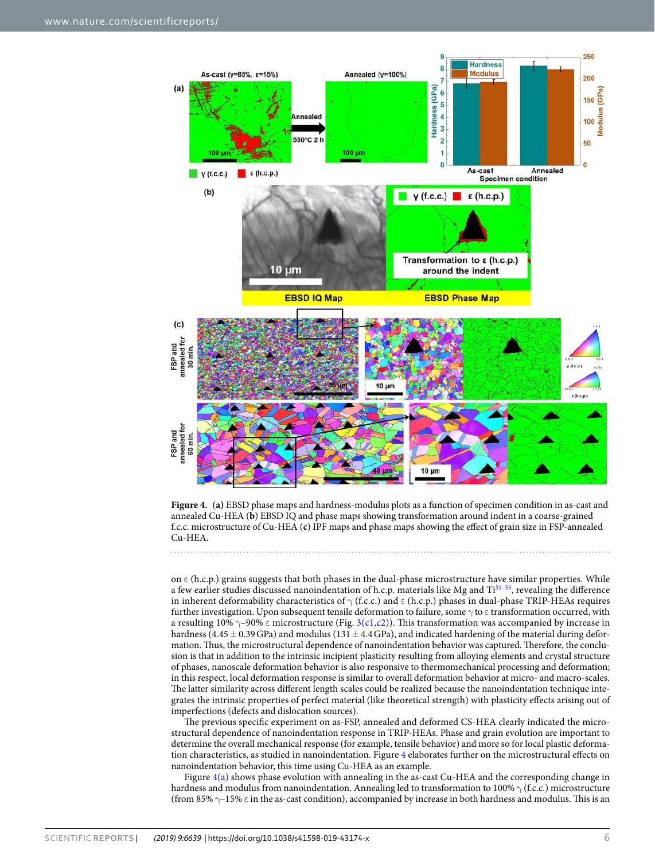

<span id="page-5-0"></span>**Figure 4.** (**a)** EBSD phase maps and hardness-modulus plots as a function of specimen condition in as-cast and annealed Cu-HEA (**b**) EBSD IQ and phase maps showing transformation around indent in a coarse-grained f.c.c. microstructure of Cu-HEA (**c**) IPF maps and phase maps showing the effect of grain size in FSP-annealed  $Cu-HEA$ 

on  $\varepsilon$  (h.c.p.) grains suggests that both phases in the dual-phase microstructure have similar properties. While a few earlier studies discussed nanoindentation of h.c.p. materials like Mg and Ti[51](#page-9-16)[–53](#page-9-17), revealing the difference in inherent deformability characteristics of  $\gamma$  (f.c.c.) and  $\varepsilon$  (h.c.p.) phases in dual-phase TRIP-HEAs requires further investigation. Upon subsequent tensile deformation to failure, some γ to ε transformation occurred, with a resulting 10%  $\gamma$ –90% ε microstructure (Fig. [3\(c1,c2\)\)](#page-4-1). This transformation was accompanied by increase in hardness (4.45  $\pm$  0.39 GPa) and modulus (131  $\pm$  4.4 GPa), and indicated hardening of the material during deformation. Thus, the microstructural dependence of nanoindentation behavior was captured. Therefore, the conclusion is that in addition to the intrinsic incipient plasticity resulting from alloying elements and crystal structure of phases, nanoscale deformation behavior is also responsive to thermomechanical processing and deformation; in this respect, local deformation response is similar to overall deformation behavior at micro- and macro-scales. The latter similarity across different length scales could be realized because the nanoindentation technique integrates the intrinsic properties of perfect material (like theoretical strength) with plasticity effects arising out of imperfections (defects and dislocation sources).

The previous specific experiment on as-FSP, annealed and deformed CS-HEA clearly indicated the microstructural dependence of nanoindentation response in TRIP-HEAs. Phase and grain evolution are important to determine the overall mechanical response (for example, tensile behavior) and more so for local plastic deformation characteristics, as studied in nanoindentation. Figure [4](#page-5-0) elaborates further on the microstructural effects on nanoindentation behavior, this time using Cu-HEA as an example.

Figure  $4(a)$  shows phase evolution with annealing in the as-cast Cu-HEA and the corresponding change in hardness and modulus from nanoindentation. Annealing led to transformation to 100% γ (f.c.c.) microstructure (from 85%  $\gamma$ –15%  $\varepsilon$  in the as-cast condition), accompanied by increase in both hardness and modulus. This is an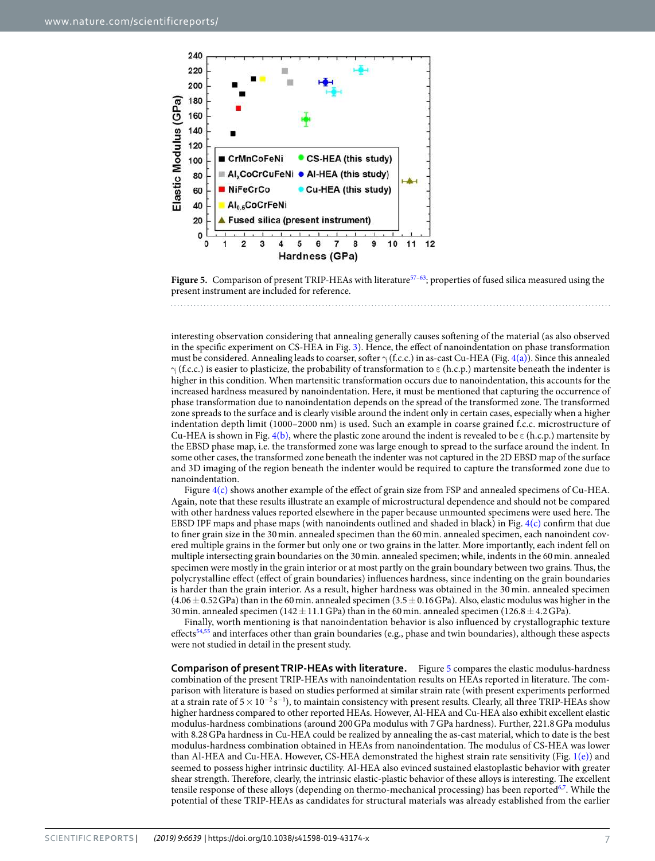

<span id="page-6-0"></span>**Figure 5.** Comparison of present TRIP-HEAs with literature<sup>[57–](#page-9-20)[63](#page-9-21)</sup>; properties of fused silica measured using the present instrument are included for reference.

interesting observation considering that annealing generally causes softening of the material (as also observed in the specific experiment on CS-HEA in Fig. [3](#page-4-1)). Hence, the effect of nanoindentation on phase transformation must be considered. Annealing leads to coarser, softer  $\gamma$  (f.c.c.) in as-cast Cu-HEA (Fig. [4\(a\)\)](#page-5-0). Since this annealed  $γ$  (f.c.c.) is easier to plasticize, the probability of transformation to ε (h.c.p.) martensite beneath the indenter is higher in this condition. When martensitic transformation occurs due to nanoindentation, this accounts for the increased hardness measured by nanoindentation. Here, it must be mentioned that capturing the occurrence of phase transformation due to nanoindentation depends on the spread of the transformed zone. The transformed zone spreads to the surface and is clearly visible around the indent only in certain cases, especially when a higher indentation depth limit (1000–2000 nm) is used. Such an example in coarse grained f.c.c. microstructure of Cu-HEA is shown in Fig. [4\(b\)](#page-5-0), where the plastic zone around the indent is revealed to be  $\epsilon$  (h.c.p.) martensite by the EBSD phase map, i.e. the transformed zone was large enough to spread to the surface around the indent. In some other cases, the transformed zone beneath the indenter was not captured in the 2D EBSD map of the surface and 3D imaging of the region beneath the indenter would be required to capture the transformed zone due to nanoindentation.

Figure  $4(c)$  shows another example of the effect of grain size from FSP and annealed specimens of Cu-HEA. Again, note that these results illustrate an example of microstructural dependence and should not be compared with other hardness values reported elsewhere in the paper because unmounted specimens were used here. The EBSD IPF maps and phase maps (with nanoindents outlined and shaded in black) in Fig. [4\(c\)](#page-5-0) confirm that due to finer grain size in the 30 min. annealed specimen than the 60 min. annealed specimen, each nanoindent covered multiple grains in the former but only one or two grains in the latter. More importantly, each indent fell on multiple intersecting grain boundaries on the 30 min. annealed specimen; while, indents in the 60 min. annealed specimen were mostly in the grain interior or at most partly on the grain boundary between two grains. Thus, the polycrystalline effect (effect of grain boundaries) influences hardness, since indenting on the grain boundaries is harder than the grain interior. As a result, higher hardness was obtained in the 30 min. annealed specimen  $(4.06 \pm 0.52$  GPa) than in the 60 min. annealed specimen  $(3.5 \pm 0.16$  GPa). Also, elastic modulus was higher in the 30 min. annealed specimen (142  $\pm$  11.1 GPa) than in the 60 min. annealed specimen (126.8  $\pm$  4.2 GPa).

Finally, worth mentioning is that nanoindentation behavior is also influenced by crystallographic texture effects[54](#page-9-18)[,55](#page-9-19) and interfaces other than grain boundaries (e.g., phase and twin boundaries), although these aspects were not studied in detail in the present study.

**Comparison of present TRIP-HEAs with literature.** Figure [5](#page-6-0) compares the elastic modulus-hardness combination of the present TRIP-HEAs with nanoindentation results on HEAs reported in literature. The comparison with literature is based on studies performed at similar strain rate (with present experiments performed at a strain rate of  $5 \times 10^{-2}$  s<sup>-1</sup>), to maintain consistency with present results. Clearly, all three TRIP-HEAs show higher hardness compared to other reported HEAs. However, Al-HEA and Cu-HEA also exhibit excellent elastic modulus-hardness combinations (around 200 GPa modulus with 7 GPa hardness). Further, 221.8 GPa modulus with 8.28 GPa hardness in Cu-HEA could be realized by annealing the as-cast material, which to date is the best modulus-hardness combination obtained in HEAs from nanoindentation. The modulus of CS-HEA was lower than Al-HEA and Cu-HEA. However, CS-HEA demonstrated the highest strain rate sensitivity (Fig. [1\(e\)\)](#page-2-0) and seemed to possess higher intrinsic ductility. Al-HEA also evinced sustained elastoplastic behavior with greater shear strength. Therefore, clearly, the intrinsic elastic-plastic behavior of these alloys is interesting. The excellent tensile response of these alloys (depending on thermo-mechanical processing) has been reported<sup>[6](#page-8-4),[7](#page-8-13)</sup>. While the potential of these TRIP-HEAs as candidates for structural materials was already established from the earlier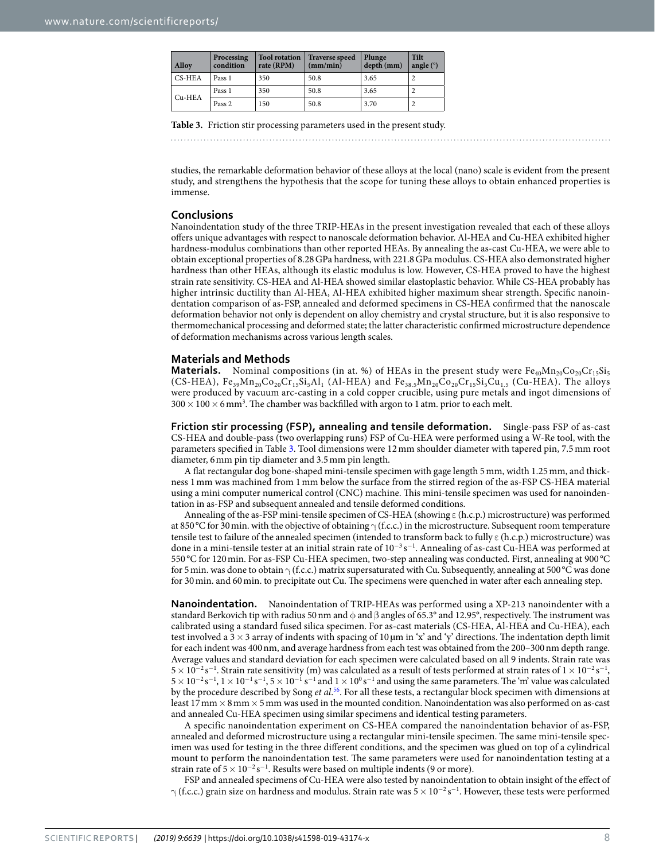<span id="page-7-0"></span>

| Alloy  | Processing<br>condition | <b>Tool rotation</b><br>rate (RPM) | <b>Traverse speed</b><br>(mm/min) | Plunge<br>depth (mm) | Tilt<br>angle $(°)$ |
|--------|-------------------------|------------------------------------|-----------------------------------|----------------------|---------------------|
| CS-HEA | Pass 1                  | 350                                | 50.8                              | 3.65                 |                     |
| Cu-HEA | Pass 1                  | 350                                | 50.8                              | 3.65                 |                     |
|        | Pass 2                  | 150                                | 50.8                              | 3.70                 |                     |

**Table 3.** Friction stir processing parameters used in the present study.

studies, the remarkable deformation behavior of these alloys at the local (nano) scale is evident from the present study, and strengthens the hypothesis that the scope for tuning these alloys to obtain enhanced properties is immense.

#### **Conclusions**

Nanoindentation study of the three TRIP-HEAs in the present investigation revealed that each of these alloys offers unique advantages with respect to nanoscale deformation behavior. Al-HEA and Cu-HEA exhibited higher hardness-modulus combinations than other reported HEAs. By annealing the as-cast Cu-HEA, we were able to obtain exceptional properties of 8.28 GPa hardness, with 221.8 GPa modulus. CS-HEA also demonstrated higher hardness than other HEAs, although its elastic modulus is low. However, CS-HEA proved to have the highest strain rate sensitivity. CS-HEA and Al-HEA showed similar elastoplastic behavior. While CS-HEA probably has higher intrinsic ductility than Al-HEA, Al-HEA exhibited higher maximum shear strength. Specific nanoindentation comparison of as-FSP, annealed and deformed specimens in CS-HEA confirmed that the nanoscale deformation behavior not only is dependent on alloy chemistry and crystal structure, but it is also responsive to thermomechanical processing and deformed state; the latter characteristic confirmed microstructure dependence of deformation mechanisms across various length scales.

#### **Materials and Methods**

**Materials.** Nominal compositions (in at. %) of HEAs in the present study were  $Fe_{40}Mn_{20}Co_{20}Cr_{15}Si_5$ (CS-HEA),  $Fe_{39}Mn_{20}Co_{20}Cr_{15}Si_5Al_1$  (Al-HEA) and  $Fe_{38.5}Mn_{20}Co_{20}Cr_{15}Si_5Cu_{1.5}$  (Cu-HEA). The alloys were produced by vacuum arc-casting in a cold copper crucible, using pure metals and ingot dimensions of  $300 \times 100 \times 6$  mm<sup>3</sup>. The chamber was backfilled with argon to 1 atm. prior to each melt.

**Friction stir processing (FSP), annealing and tensile deformation.** Single-pass FSP of as-cast CS-HEA and double-pass (two overlapping runs) FSP of Cu-HEA were performed using a W-Re tool, with the parameters specified in Table [3](#page-7-0). Tool dimensions were 12 mm shoulder diameter with tapered pin, 7.5 mm root diameter, 6 mm pin tip diameter and 3.5 mm pin length.

A flat rectangular dog bone-shaped mini-tensile specimen with gage length 5 mm, width 1.25 mm, and thickness 1 mm was machined from 1 mm below the surface from the stirred region of the as-FSP CS-HEA material using a mini computer numerical control (CNC) machine. This mini-tensile specimen was used for nanoindentation in as-FSP and subsequent annealed and tensile deformed conditions.

Annealing of the as-FSP mini-tensile specimen of CS-HEA (showing  $\epsilon$  (h.c.p.) microstructure) was performed at 850 °C for 30 min. with the objective of obtaining  $\gamma$  (f.c.c.) in the microstructure. Subsequent room temperature tensile test to failure of the annealed specimen (intended to transform back to fully ε (h.c.p.) microstructure) was done in a mini-tensile tester at an initial strain rate of  $10^{-3} s^{-1}$ . Annealing of as-cast Cu-HEA was performed at 550 °C for 120 min. For as-FSP Cu-HEA specimen, two-step annealing was conducted. First, annealing at 900 °C for 5 min. was done to obtain  $\gamma$  (f.c.c.) matrix supersaturated with Cu. Subsequently, annealing at 500 °C was done for 30 min. and 60 min. to precipitate out Cu. The specimens were quenched in water after each annealing step.

**Nanoindentation.** Nanoindentation of TRIP-HEAs was performed using a XP-213 nanoindenter with a standard Berkovich tip with radius 50 nm and φ and β angles of 65.3° and 12.95°, respectively. The instrument was calibrated using a standard fused silica specimen. For as-cast materials (CS-HEA, Al-HEA and Cu-HEA), each test involved a 3  $\times$  3 array of indents with spacing of 10  $\mu$ m in 'x' and 'y' directions. The indentation depth limit for each indent was 400 nm, and average hardness from each test was obtained from the 200–300 nm depth range. Average values and standard deviation for each specimen were calculated based on all 9 indents. Strain rate was  $5 \times 10^{-2}$  s<sup>-1</sup>. Strain rate sensitivity (m) was calculated as a result of tests performed at strain rates of  $1 \times 10^{-2}$  s<sup>-1</sup>,  $5 \times 10^{-2}$  s<sup>-1</sup>,  $1 \times 10^{-1}$  s<sup>-1</sup>,  $5 \times 10^{-1}$  s<sup>-1</sup> and  $1 \times 10^{0}$  s<sup>-1</sup> and using the same parameters. The 'm' value was calculated by the procedure described by Song et al.<sup>[56](#page-9-22)</sup>. For all these tests, a rectangular block specimen with dimensions at least  $17 \text{ mm} \times 8 \text{ mm} \times 5 \text{ mm}$  was used in the mounted condition. Nanoindentation was also performed on as-cast and annealed Cu-HEA specimen using similar specimens and identical testing parameters.

A specific nanoindentation experiment on CS-HEA compared the nanoindentation behavior of as-FSP, annealed and deformed microstructure using a rectangular mini-tensile specimen. The same mini-tensile specimen was used for testing in the three different conditions, and the specimen was glued on top of a cylindrical mount to perform the nanoindentation test. The same parameters were used for nanoindentation testing at a strain rate of  $5 \times 10^{-2}$  s<sup>-1</sup>. Results were based on multiple indents (9 or more).

FSP and annealed specimens of Cu-HEA were also tested by nanoindentation to obtain insight of the effect of  $\gamma$  (f.c.c.) grain size on hardness and modulus. Strain rate was  $5 \times 10^{-2}$  s<sup>-1</sup>. However, these tests were performed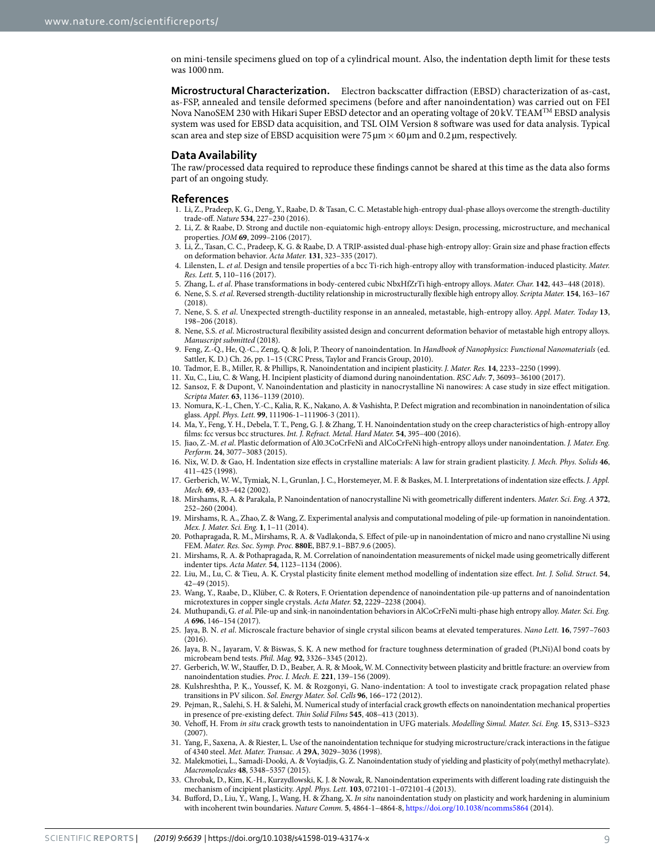on mini-tensile specimens glued on top of a cylindrical mount. Also, the indentation depth limit for these tests was 1000 nm.

**Microstructural Characterization.** Electron backscatter diffraction (EBSD) characterization of as-cast, as-FSP, annealed and tensile deformed specimens (before and after nanoindentation) was carried out on FEI Nova NanoSEM 230 with Hikari Super EBSD detector and an operating voltage of 20 kV. TEAM<sup>TM</sup> EBSD analysis system was used for EBSD data acquisition, and TSL OIM Version 8 software was used for data analysis. Typical scan area and step size of EBSD acquisition were  $75 \,\mu m \times 60 \,\mu m$  and  $0.2 \,\mu m$ , respectively.

#### **Data Availability**

The raw/processed data required to reproduce these findings cannot be shared at this time as the data also forms part of an ongoing study.

#### **References**

- <span id="page-8-0"></span> 1. Li, Z., Pradeep, K. G., Deng, Y., Raabe, D. & Tasan, C. C. Metastable high-entropy dual-phase alloys overcome the strength-ductility trade-off. Nature **534**, 227–230 (2016).
- 2. Li, Z. & Raabe, D. Strong and ductile non-equiatomic high-entropy alloys: Design, processing, microstructure, and mechanical properties. JOM **69**, 2099–2106 (2017).
- <span id="page-8-1"></span> 3. Li, Z., Tasan, C. C., Pradeep, K. G. & Raabe, D. A TRIP-assisted dual-phase high-entropy alloy: Grain size and phase fraction effects on deformation behavior. Acta Mater. **131**, 323–335 (2017).
- <span id="page-8-2"></span> 4. Lilensten, L. et al. Design and tensile properties of a bcc Ti-rich high-entropy alloy with transformation-induced plasticity. Mater. Res. Lett. **5**, 110–116 (2017).
- <span id="page-8-4"></span><span id="page-8-3"></span> 5. Zhang, L. et al. Phase transformations in body-centered cubic NbxHfZrTi high-entropy alloys. Mater. Char. **142**, 443–448 (2018). 6. Nene, S. S. et al. Reversed strength-ductility relationship in microstructurally flexible high entropy alloy. Scripta Mater. **154**, 163–167
- (2018).
- <span id="page-8-13"></span> 7. Nene, S. S. et al. Unexpected strength-ductility response in an annealed, metastable, high-entropy alloy. Appl. Mater. Today **13**, 198–206 (2018).
- <span id="page-8-5"></span> 8. Nene, S.S. et al. Microstructural flexibility assisted design and concurrent deformation behavior of metastable high entropy alloys. Manuscript submitted (2018).
- <span id="page-8-6"></span> 9. Feng, Z.-Q., He, Q.-C., Zeng, Q. & Joli, P. Theory of nanoindentation. In Handbook of Nanophysics: Functional Nanomaterials (ed. Sattler, K. D.) Ch. 26, pp. 1–15 (CRC Press, Taylor and Francis Group, 2010).
- 10. Tadmor, E. B., Miller, R. & Phillips, R. Nanoindentation and incipient plasticity. J. Mater. Res. **14**, 2233–2250 (1999).
- 11. Xu, C., Liu, C. & Wang, H. Incipient plasticity of diamond during nanoindentation. RSC Adv. **7**, 36093–36100 (2017).
- 12. Sansoz, F. & Dupont, V. Nanoindentation and plasticity in nanocrystalline Ni nanowires: A case study in size effect mitigation. Scripta Mater. **63**, 1136–1139 (2010).
- 13. Nomura, K.-I., Chen, Y.-C., Kalia, R. K., Nakano, A. & Vashishta, P. Defect migration and recombination in nanoindentation of silica glass. Appl. Phys. Lett. **99**, 111906-1–111906-3 (2011).
- 14. Ma, Y., Feng, Y. H., Debela, T. T., Peng, G. J. & Zhang, T. H. Nanoindentation study on the creep characteristics of high-entropy alloy films: fcc versus bcc structures. Int. J. Refract. Metal. Hard Mater. **54**, 395–400 (2016).
- <span id="page-8-7"></span> 15. Jiao, Z.-M. et al. Plastic deformation of Al0.3CoCrFeNi and AlCoCrFeNi high-entropy alloys under nanoindentation. J. Mater. Eng. Perform. **24**, 3077–3083 (2015).
- <span id="page-8-8"></span> 16. Nix, W. D. & Gao, H. Indentation size effects in crystalline materials: A law for strain gradient plasticity. J. Mech. Phys. Solids **46**, 411–425 (1998).
- 17. Gerberich, W. W., Tymiak, N. I., Grunlan, J. C., Horstemeyer, M. F. & Baskes, M. I. Interpretations of indentation size effects. J. Appl. Mech. **69**, 433–442 (2002).
- 18. Mirshams, R. A. & Parakala, P. Nanoindentation of nanocrystalline Ni with geometrically different indenters. Mater. Sci. Eng. A **372**, 252–260 (2004).
- 19. Mirshams, R. A., Zhao, Z. & Wang, Z. Experimental analysis and computational modeling of pile-up formation in nanoindentation. Mex. J. Mater. Sci. Eng. **1**, 1–11 (2014).
- 20. Pothapragada, R. M., Mirshams, R. A. & Vadlakonda, S. Effect of pile-up in nanoindentation of micro and nano crystalline Ni using FEM. Mater. Res. Soc. Symp. Proc. **880E**, BB7.9.1–BB7.9.6 (2005).
- 21. Mirshams, R. A. & Pothapragada, R. M. Correlation of nanoindentation measurements of nickel made using geometrically different indenter tips. Acta Mater. **54**, 1123–1134 (2006).
- 22. Liu, M., Lu, C. & Tieu, A. K. Crystal plasticity finite element method modelling of indentation size effect. Int. J. Solid. Struct. **54**, 42–49 (2015).
- 23. Wang, Y., Raabe, D., Klüber, C. & Roters, F. Orientation dependence of nanoindentation pile-up patterns and of nanoindentation microtextures in copper single crystals. Acta Mater. **52**, 2229–2238 (2004).
- <span id="page-8-9"></span>24. Muthupandi, G. et al. Pile-up and sink-in nanoindentation behaviors in AlCoCrFeNi multi-phase high entropy alloy. Mater. Sci. Eng. A **696**, 146–154 (2017).
- <span id="page-8-10"></span> 25. Jaya, B. N. et al. Microscale fracture behavior of single crystal silicon beams at elevated temperatures. Nano Lett. **16**, 7597–7603 (2016).
- 26. Jaya, B. N., Jayaram, V. & Biswas, S. K. A new method for fracture toughness determination of graded (Pt,Ni)Al bond coats by microbeam bend tests. Phil. Mag. **92**, 3326–3345 (2012).
- 27. Gerberich, W. W., Stauffer, D. D., Beaber, A. R. & Mook, W. M. Connectivity between plasticity and brittle fracture: an overview from nanoindentation studies. Proc. I. Mech. E. **221**, 139–156 (2009).
- 28. Kulshreshtha, P. K., Youssef, K. M. & Rozgonyi, G. Nano-indentation: A tool to investigate crack propagation related phase transitions in PV silicon. Sol. Energy Mater. Sol. Cells **96**, 166–172 (2012).
- 29. Pejman, R., Salehi, S. H. & Salehi, M. Numerical study of interfacial crack growth effects on nanoindentation mechanical properties in presence of pre-existing defect. Thin Solid Films **545**, 408–413 (2013).
- 30. Vehoff, H. From in situ crack growth tests to nanoindentation in UFG materials. Modelling Simul. Mater. Sci. Eng. **15**, S313–S323  $(2007)$
- <span id="page-8-11"></span> 31. Yang, F., Saxena, A. & Riester, L. Use of the nanoindentation technique for studying microstructure/crack interactions in the fatigue of 4340 steel. Met. Mater. Transac. A **29A**, 3029–3036 (1998).
- <span id="page-8-12"></span> 32. Malekmotiei, L., Samadi-Dooki, A. & Voyiadjis, G. Z. Nanoindentation study of yielding and plasticity of poly(methyl methacrylate). Macromolecules **48**, 5348–5357 (2015).
- 33. Chrobak, D., Kim, K.-H., Kurzydlowski, K. J. & Nowak, R. Nanoindentation experiments with different loading rate distinguish the mechanism of incipient plasticity. Appl. Phys. Lett. **103**, 072101-1–072101-4 (2013).
- 34. Bufford, D., Liu, Y., Wang, J., Wang, H. & Zhang, X. In situ nanoindentation study on plasticity and work hardening in aluminium with incoherent twin boundaries. Nature Comm. **5**, 4864-1–4864-8,<https://doi.org/10.1038/ncomms5864>(2014).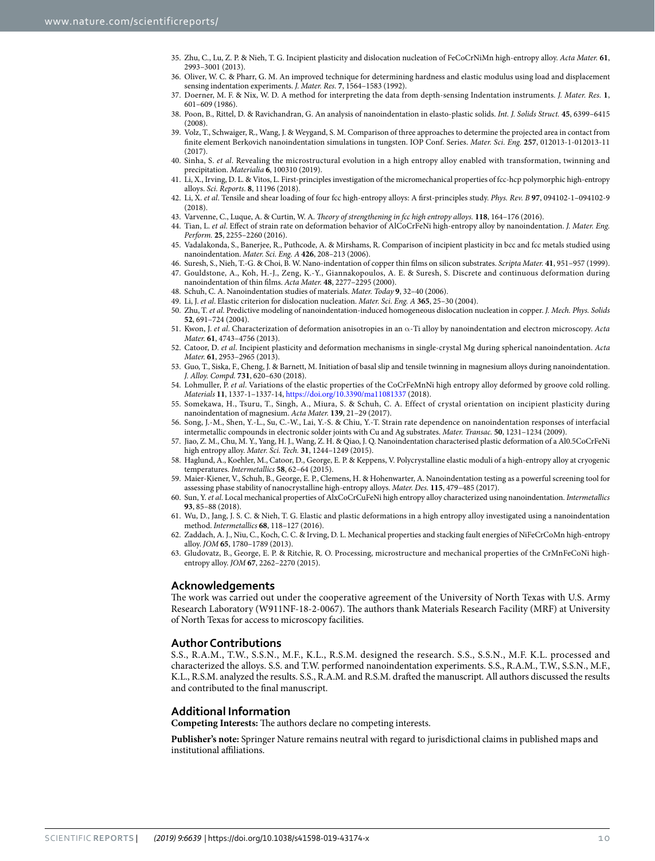- <span id="page-9-0"></span> 35. Zhu, C., Lu, Z. P. & Nieh, T. G. Incipient plasticity and dislocation nucleation of FeCoCrNiMn high-entropy alloy. Acta Mater. **61**, 2993–3001 (2013).
- <span id="page-9-1"></span> 36. Oliver, W. C. & Pharr, G. M. An improved technique for determining hardness and elastic modulus using load and displacement sensing indentation experiments. J. Mater. Res. **7**, 1564–1583 (1992).
- <span id="page-9-2"></span> 37. Doerner, M. F. & Nix, W. D. A method for interpreting the data from depth-sensing Indentation instruments. J. Mater. Res. **1**, 601–609 (1986).
- <span id="page-9-3"></span> 38. Poon, B., Rittel, D. & Ravichandran, G. An analysis of nanoindentation in elasto-plastic solids. Int. J. Solids Struct. **45**, 6399–6415 (2008).
- <span id="page-9-4"></span> 39. Volz, T., Schwaiger, R., Wang, J. & Weygand, S. M. Comparison of three approaches to determine the projected area in contact from finite element Berkovich nanoindentation simulations in tungsten. IOP Conf. Series. Mater. Sci. Eng. **257**, 012013-1-012013-11 (2017).
- <span id="page-9-5"></span>40. Sinha, S. et al. Revealing the microstructural evolution in a high entropy alloy enabled with transformation, twinning and precipitation. Materialia **6**, 100310 (2019).
- <span id="page-9-6"></span> 41. Li, X., Irving, D. L. & Vitos, L. First-principles investigation of the micromechanical properties of fcc-hcp polymorphic high-entropy alloys. Sci. Reports. **8**, 11196 (2018).
- <span id="page-9-7"></span> 42. Li, X. et al. Tensile and shear loading of four fcc high-entropy alloys: A first-principles study. Phys. Rev. B **97**, 094102-1–094102-9 (2018).
- <span id="page-9-8"></span>43. Varvenne, C., Luque, A. & Curtin, W. A. Theory of strengthening in fcc high entropy alloys. **118**, 164–176 (2016).
- <span id="page-9-9"></span>44. Tian, L. et al. Effect of strain rate on deformation behavior of AlCoCrFeNi high-entropy alloy by nanoindentation. J. Mater. Eng. Perform. **25**, 2255–2260 (2016).
- <span id="page-9-10"></span> 45. Vadalakonda, S., Banerjee, R., Puthcode, A. & Mirshams, R. Comparison of incipient plasticity in bcc and fcc metals studied using nanoindentation. Mater. Sci. Eng. A **426**, 208–213 (2006).
- <span id="page-9-12"></span>46. Suresh, S., Nieh, T.-G. & Choi, B. W. Nano-indentation of copper thin films on silicon substrates. Scripta Mater. **41**, 951–957 (1999).
- <span id="page-9-11"></span> 47. Gouldstone, A., Koh, H.-J., Zeng, K.-Y., Giannakopoulos, A. E. & Suresh, S. Discrete and continuous deformation during nanoindentation of thin films. Acta Mater. **48**, 2277–2295 (2000).
- <span id="page-9-13"></span>48. Schuh, C. A. Nanoindentation studies of materials. Mater. Today **9**, 32–40 (2006).
- <span id="page-9-14"></span>49. Li, J. et al. Elastic criterion for dislocation nucleation. Mater. Sci. Eng. A **365**, 25–30 (2004).
- <span id="page-9-15"></span> 50. Zhu, T. et al. Predictive modeling of nanoindentation-induced homogeneous dislocation nucleation in copper. J. Mech. Phys. Solids **52**, 691–724 (2004).
- <span id="page-9-16"></span>51. Kwon, J. et al. Characterization of deformation anisotropies in an  $\alpha$ -Ti alloy by nanoindentation and electron microscopy. Acta Mater. **61**, 4743–4756 (2013).
- 52. Catoor, D. et al. Incipient plasticity and deformation mechanisms in single-crystal Mg during spherical nanoindentation. Acta Mater. **61**, 2953–2965 (2013).
- <span id="page-9-17"></span> 53. Guo, T., Siska, F., Cheng, J. & Barnett, M. Initiation of basal slip and tensile twinning in magnesium alloys during nanoindentation. J. Alloy. Compd. **731**, 620–630 (2018).
- <span id="page-9-18"></span>54. Lohmuller, P. et al. Variations of the elastic properties of the CoCrFeMnNi high entropy alloy deformed by groove cold rolling. Materials **11**, 1337-1–1337-14,<https://doi.org/10.3390/ma11081337> (2018).
- <span id="page-9-19"></span> 55. Somekawa, H., Tsuru, T., Singh, A., Miura, S. & Schuh, C. A. Effect of crystal orientation on incipient plasticity during nanoindentation of magnesium. Acta Mater. **139**, 21–29 (2017).
- <span id="page-9-22"></span> 56. Song, J.-M., Shen, Y.-L., Su, C.-W., Lai, Y.-S. & Chiu, Y.-T. Strain rate dependence on nanoindentation responses of interfacial intermetallic compounds in electronic solder joints with Cu and Ag substrates. Mater. Transac. **50**, 1231–1234 (2009).
- <span id="page-9-20"></span> 57. Jiao, Z. M., Chu, M. Y., Yang, H. J., Wang, Z. H. & Qiao, J. Q. Nanoindentation characterised plastic deformation of a Al0.5CoCrFeNi high entropy alloy. Mater. Sci. Tech. **31**, 1244–1249 (2015).
- 58. Haglund, A., Koehler, M., Catoor, D., George, E. P. & Keppens, V. Polycrystalline elastic moduli of a high-entropy alloy at cryogenic temperatures. Intermetallics **58**, 62–64 (2015).
- 59. Maier-Kiener, V., Schuh, B., George, E. P., Clemens, H. & Hohenwarter, A. Nanoindentation testing as a powerful screening tool for assessing phase stability of nanocrystalline high-entropy alloys. Mater. Des. **115**, 479–485 (2017).
- 60. Sun, Y. et al. Local mechanical properties of AlxCoCrCuFeNi high entropy alloy characterized using nanoindentation. Intermetallics **93**, 85–88 (2018).
- 61. Wu, D., Jang, J. S. C. & Nieh, T. G. Elastic and plastic deformations in a high entropy alloy investigated using a nanoindentation method. Intermetallics **68**, 118–127 (2016).
- 62. Zaddach, A. J., Niu, C., Koch, C. C. & Irving, D. L. Mechanical properties and stacking fault energies of NiFeCrCoMn high-entropy alloy. JOM **65**, 1780–1789 (2013).
- <span id="page-9-21"></span> 63. Gludovatz, B., George, E. P. & Ritchie, R. O. Processing, microstructure and mechanical properties of the CrMnFeCoNi highentropy alloy. JOM **67**, 2262–2270 (2015).

#### **Acknowledgements**

The work was carried out under the cooperative agreement of the University of North Texas with U.S. Army Research Laboratory (W911NF-18-2-0067). The authors thank Materials Research Facility (MRF) at University of North Texas for access to microscopy facilities.

#### **Author Contributions**

S.S., R.A.M., T.W., S.S.N., M.F., K.L., R.S.M. designed the research. S.S., S.S.N., M.F. K.L. processed and characterized the alloys. S.S. and T.W. performed nanoindentation experiments. S.S., R.A.M., T.W., S.S.N., M.F., K.L., R.S.M. analyzed the results. S.S., R.A.M. and R.S.M. drafted the manuscript. All authors discussed the results and contributed to the final manuscript.

#### **Additional Information**

**Competing Interests:** The authors declare no competing interests.

**Publisher's note:** Springer Nature remains neutral with regard to jurisdictional claims in published maps and institutional affiliations.